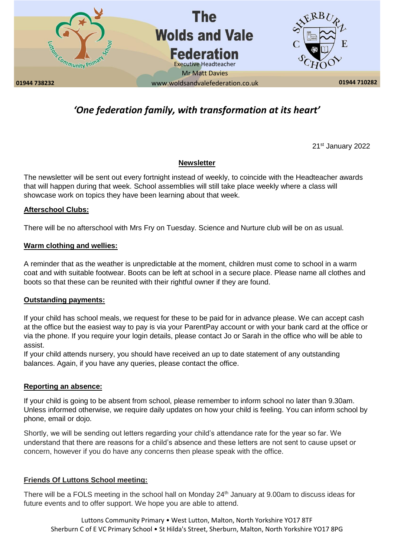

# *'One federation family, with transformation at its heart'*

21st January 2022

# **Newsletter**

The newsletter will be sent out every fortnight instead of weekly, to coincide with the Headteacher awards that will happen during that week. School assemblies will still take place weekly where a class will showcase work on topics they have been learning about that week.

#### **Afterschool Clubs:**

There will be no afterschool with Mrs Fry on Tuesday. Science and Nurture club will be on as usual.

# **Warm clothing and wellies:**

A reminder that as the weather is unpredictable at the moment, children must come to school in a warm coat and with suitable footwear. Boots can be left at school in a secure place. Please name all clothes and boots so that these can be reunited with their rightful owner if they are found.

# **Outstanding payments:**

If your child has school meals, we request for these to be paid for in advance please. We can accept cash at the office but the easiest way to pay is via your ParentPay account or with your bank card at the office or via the phone. If you require your login details, please contact Jo or Sarah in the office who will be able to assist.

If your child attends nursery, you should have received an up to date statement of any outstanding balances. Again, if you have any queries, please contact the office.

#### **Reporting an absence:**

If your child is going to be absent from school, please remember to inform school no later than 9.30am. Unless informed otherwise, we require daily updates on how your child is feeling. You can inform school by phone, email or dojo.

Shortly, we will be sending out letters regarding your child's attendance rate for the year so far. We understand that there are reasons for a child's absence and these letters are not sent to cause upset or concern, however if you do have any concerns then please speak with the office.

# **Friends Of Luttons School meeting:**

There will be a FOLS meeting in the school hall on Monday 24<sup>th</sup> January at 9.00am to discuss ideas for future events and to offer support. We hope you are able to attend.